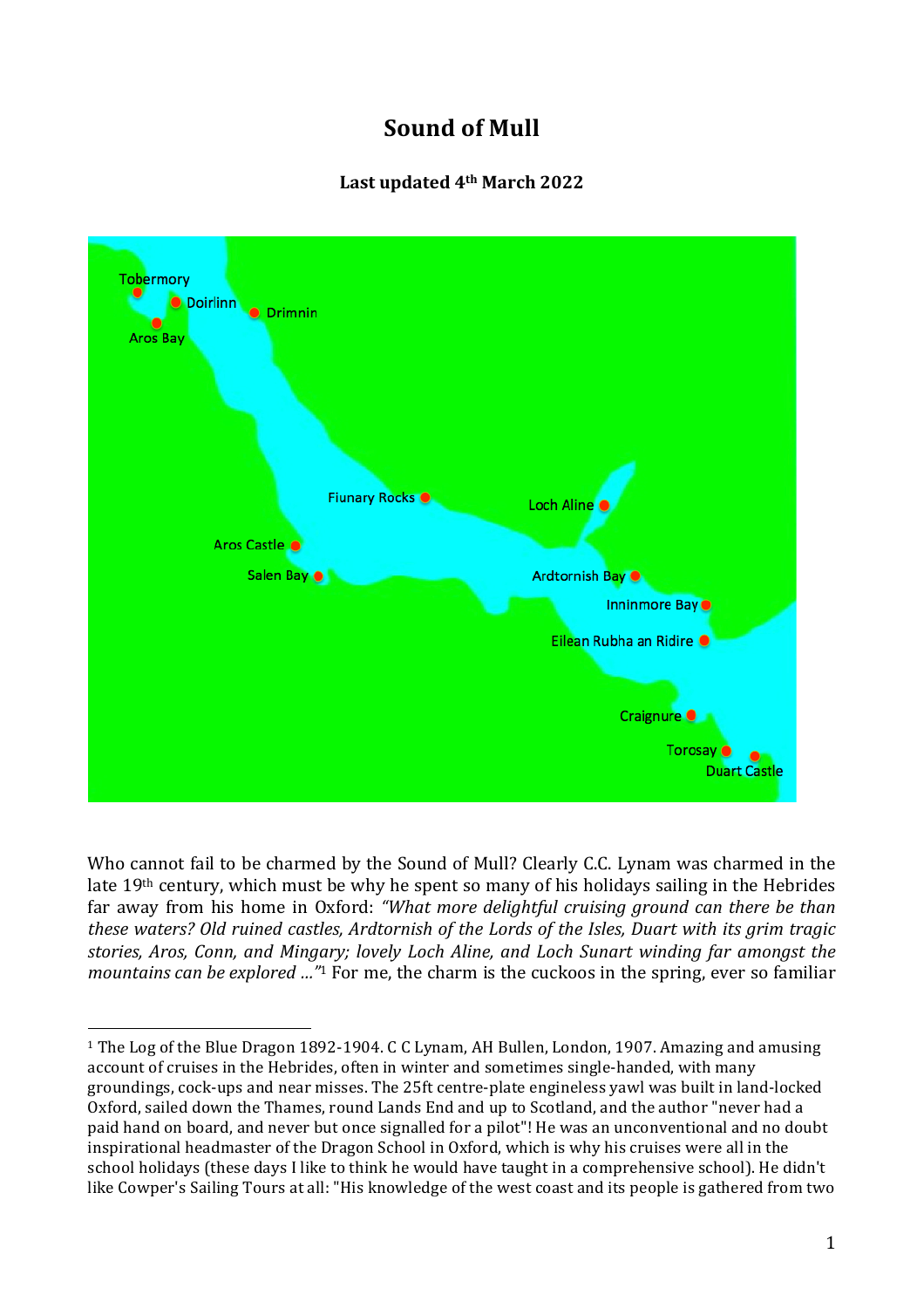# **Sound of Mull**

# **Last updated 4th March 2022**



Who cannot fail to be charmed by the Sound of Mull? Clearly C.C. Lynam was charmed in the late 19th century, which must be why he spent so many of his holidays sailing in the Hebrides far away from his home in Oxford: "What more delightful cruising ground can there be than *these waters?* Old ruined castles, Ardtornish of the Lords of the Isles, Duart with its grim tragic *stories, Aros, Conn, and Mingary; lovely Loch Aline, and Loch Sunart winding far amongst the mountains can be explored ...*"<sup>1</sup> For me, the charm is the cuckoos in the spring, ever so familiar

<sup>1</sup> The Log of the Blue Dragon 1892-1904. C C Lynam, AH Bullen, London, 1907. Amazing and amusing account of cruises in the Hebrides, often in winter and sometimes single-handed, with many groundings, cock-ups and near misses. The 25ft centre-plate engineless yawl was built in land-locked Oxford, sailed down the Thames, round Lands End and up to Scotland, and the author "never had a paid hand on board, and never but once signalled for a pilot"! He was an unconventional and no doubt inspirational headmaster of the Dragon School in Oxford, which is why his cruises were all in the school holidays (these days I like to think he would have taught in a comprehensive school). He didn't like Cowper's Sailing Tours at all: "His knowledge of the west coast and its people is gathered from two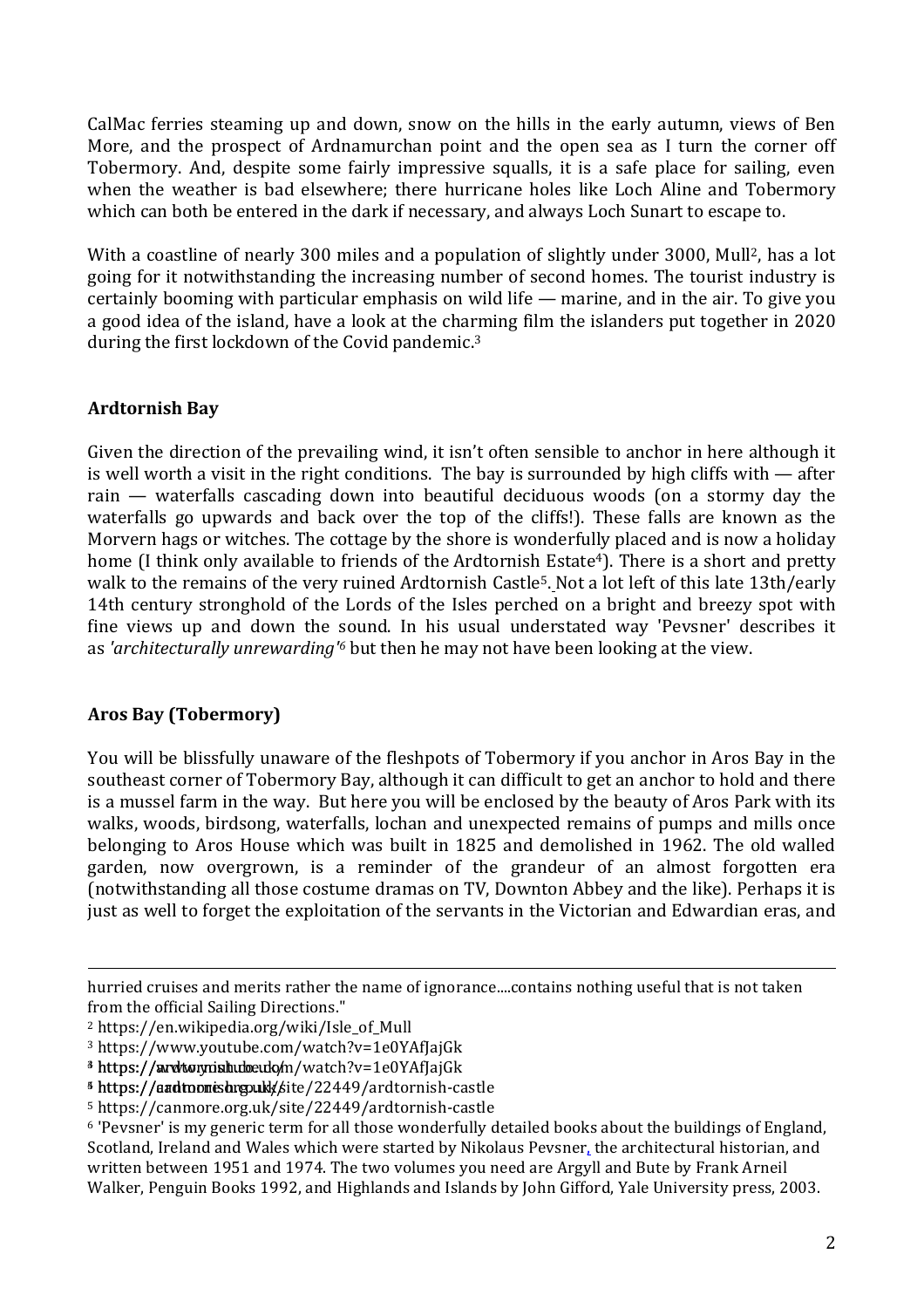CalMac ferries steaming up and down, snow on the hills in the early autumn, views of Ben More, and the prospect of Ardnamurchan point and the open sea as I turn the corner off Tobermory. And, despite some fairly impressive squalls, it is a safe place for sailing, even when the weather is bad elsewhere; there hurricane holes like Loch Aline and Tobermory which can both be entered in the dark if necessary, and always Loch Sunart to escape to.

With a coastline of nearly 300 miles and a population of slightly under 3000, Mull<sup>2</sup>, has a lot going for it notwithstanding the increasing number of second homes. The tourist industry is certainly booming with particular emphasis on wild life  $-$  marine, and in the air. To give you a good idea of the island, have a look at the charming film the islanders put together in 2020 during the first lockdown of the Covid pandemic.3

#### **Ardtornish Bay**

Given the direction of the prevailing wind, it isn't often sensible to anchor in here although it is well worth a visit in the right conditions. The bay is surrounded by high cliffs with — after rain — waterfalls cascading down into beautiful deciduous woods (on a stormy day the waterfalls go upwards and back over the top of the cliffs!). These falls are known as the Morvern hags or witches. The cottage by the shore is wonderfully placed and is now a holiday home (I think only available to friends of the Ardtornish Estate<sup>4</sup>). There is a short and pretty walk to the remains of the very ruined Ardtornish Castle<sup>5</sup>. Not a lot left of this late 13th/early 14th century stronghold of the Lords of the Isles perched on a bright and breezy spot with fine views up and down the sound. In his usual understated way 'Pevsner' describes it as *'architecturally unrewarding'6* but then he may not have been looking at the view.

## **Aros Bay (Tobermory)**

You will be blissfully unaware of the fleshpots of Tobermory if you anchor in Aros Bay in the southeast corner of Tobermory Bay, although it can difficult to get an anchor to hold and there is a mussel farm in the way. But here you will be enclosed by the beauty of Aros Park with its walks, woods, birdsong, waterfalls, lochan and unexpected remains of pumps and mills once belonging to Aros House which was built in 1825 and demolished in 1962. The old walled garden, now overgrown, is a reminder of the grandeur of an almost forgotten era (notwithstanding all those costume dramas on TV, Downton Abbey and the like). Perhaps it is just as well to forget the exploitation of the servants in the Victorian and Edwardian eras, and

<u> 1989 - Andrea Santa Andrea Andrea Andrea Andrea Andrea Andrea Andrea Andrea Andrea Andrea Andrea Andrea Andr</u>

hurried cruises and merits rather the name of ignorance....contains nothing useful that is not taken from the official Sailing Directions."

<sup>2</sup> https://en.wikipedia.org/wiki/Isle\_of\_Mull

<sup>3</sup> https://www.youtube.com/watch?v=1e0YAfJajGk

<sup>&</sup>lt;sup>3</sup> https://aurohtoruy.mish.ubo.eudo/m/watch?v=1e0YAfJajGk

<sup>&</sup>lt;sup>5</sup> https://aadtoomishrgoukk/site/22449/ardtornish-castle

<sup>5</sup> https://canmore.org.uk/site/22449/ardtornish-castle

<sup>6</sup> 'Pevsner' is my generic term for all those wonderfully detailed books about the buildings of England, Scotland, Ireland and Wales which were started by Nikolaus Pevsner, the architectural historian, and written between 1951 and 1974. The two volumes you need are Argyll and Bute by Frank Arneil Walker, Penguin Books 1992, and Highlands and Islands by John Gifford, Yale University press, 2003.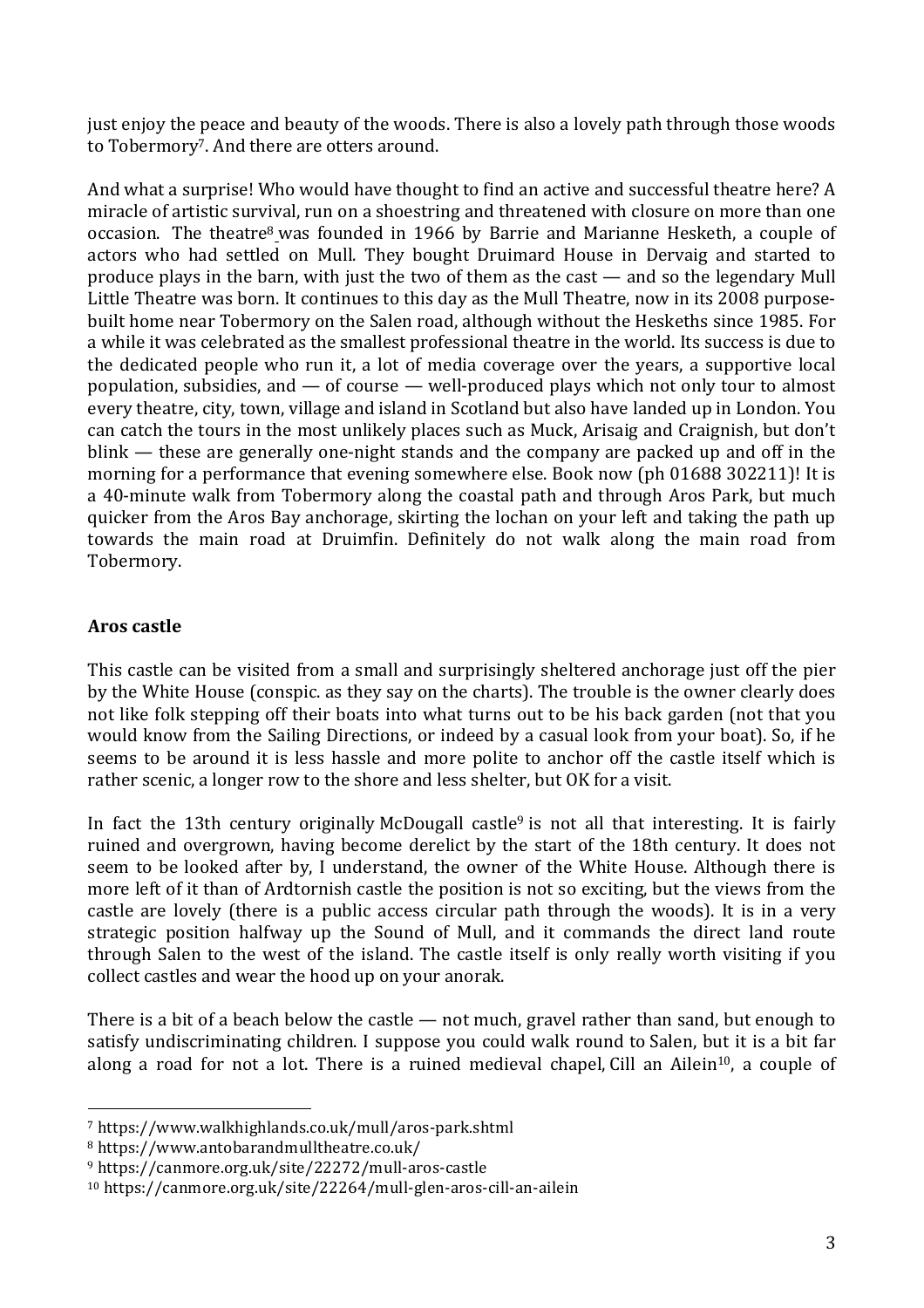just enjoy the peace and beauty of the woods. There is also a lovely path through those woods to Tobermory<sup>7</sup>. And there are otters around.

And what a surprise! Who would have thought to find an active and successful theatre here? A miracle of artistic survival, run on a shoestring and threatened with closure on more than one occasion. The theatre<sup>8</sup> was founded in 1966 by Barrie and Marianne Hesketh, a couple of actors who had settled on Mull. They bought Druimard House in Dervaig and started to produce plays in the barn, with just the two of them as the cast — and so the legendary Mull Little Theatre was born. It continues to this day as the Mull Theatre, now in its 2008 purposebuilt home near Tobermory on the Salen road, although without the Heskeths since 1985. For a while it was celebrated as the smallest professional theatre in the world. Its success is due to the dedicated people who run it, a lot of media coverage over the years, a supportive local population, subsidies, and — of course — well-produced plays which not only tour to almost every theatre, city, town, village and island in Scotland but also have landed up in London. You can catch the tours in the most unlikely places such as Muck, Arisaig and Craignish, but don't blink — these are generally one-night stands and the company are packed up and off in the morning for a performance that evening somewhere else. Book now (ph 01688 302211)! It is a 40-minute walk from Tobermory along the coastal path and through Aros Park, but much quicker from the Aros Bay anchorage, skirting the lochan on your left and taking the path up towards the main road at Druimfin. Definitely do not walk along the main road from Tobermory.

#### **Aros castle**

This castle can be visited from a small and surprisingly sheltered anchorage just off the pier by the White House (conspic. as they say on the charts). The trouble is the owner clearly does not like folk stepping off their boats into what turns out to be his back garden (not that you would know from the Sailing Directions, or indeed by a casual look from your boat). So, if he seems to be around it is less hassle and more polite to anchor off the castle itself which is rather scenic, a longer row to the shore and less shelter, but OK for a visit.

In fact the 13th century originally McDougall castle<sup>9</sup> is not all that interesting. It is fairly ruined and overgrown, having become derelict by the start of the 18th century. It does not seem to be looked after by, I understand, the owner of the White House. Although there is more left of it than of Ardtornish castle the position is not so exciting, but the views from the castle are lovely (there is a public access circular path through the woods). It is in a very strategic position halfway up the Sound of Mull, and it commands the direct land route through Salen to the west of the island. The castle itself is only really worth visiting if you collect castles and wear the hood up on your anorak.

There is a bit of a beach below the castle — not much, gravel rather than sand, but enough to satisfy undiscriminating children. I suppose you could walk round to Salen, but it is a bit far along a road for not a lot. There is a ruined medieval chapel, Cill an Ailein<sup>10</sup>, a couple of

<sup>8</sup> https://www.antobarandmulltheatre.co.uk/

<sup>7</sup> https://www.walkhighlands.co.uk/mull/aros-park.shtml

<sup>9</sup> https://canmore.org.uk/site/22272/mull-aros-castle

<sup>10</sup> https://canmore.org.uk/site/22264/mull-glen-aros-cill-an-ailein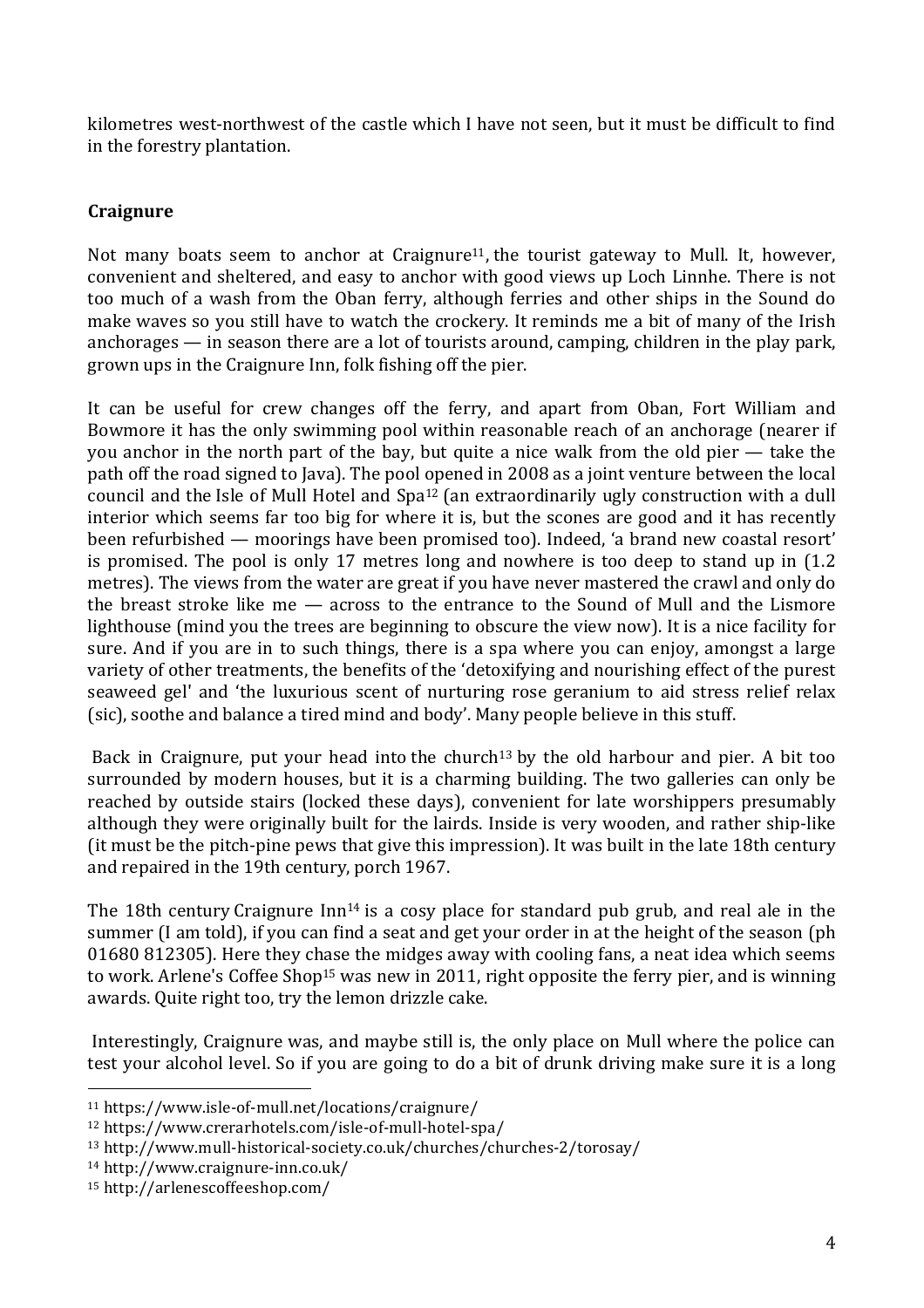kilometres west-northwest of the castle which I have not seen, but it must be difficult to find in the forestry plantation.

# **Craignure**

Not many boats seem to anchor at Craignure<sup>11</sup>, the tourist gateway to Mull. It, however, convenient and sheltered, and easy to anchor with good views up Loch Linnhe. There is not too much of a wash from the Oban ferry, although ferries and other ships in the Sound do make waves so you still have to watch the crockery. It reminds me a bit of many of the Irish anchorages — in season there are a lot of tourists around, camping, children in the play park, grown ups in the Craignure Inn, folk fishing off the pier.

It can be useful for crew changes off the ferry, and apart from Oban, Fort William and Bowmore it has the only swimming pool within reasonable reach of an anchorage (nearer if you anchor in the north part of the bay, but quite a nice walk from the old pier — take the path off the road signed to Java). The pool opened in 2008 as a joint venture between the local council and the Isle of Mull Hotel and Spa12 (an extraordinarily ugly construction with a dull interior which seems far too big for where it is, but the scones are good and it has recently been refurbished — moorings have been promised too). Indeed, 'a brand new coastal resort' is promised. The pool is only 17 metres long and nowhere is too deep to stand up in (1.2 metres). The views from the water are great if you have never mastered the crawl and only do the breast stroke like me — across to the entrance to the Sound of Mull and the Lismore lighthouse (mind you the trees are beginning to obscure the view now). It is a nice facility for sure. And if you are in to such things, there is a spa where you can enjoy, amongst a large variety of other treatments, the benefits of the 'detoxifying and nourishing effect of the purest seaweed gel' and 'the luxurious scent of nurturing rose geranium to aid stress relief relax (sic), soothe and balance a tired mind and body'. Many people believe in this stuff.

Back in Craignure, put your head into the church<sup>13</sup> by the old harbour and pier. A bit too surrounded by modern houses, but it is a charming building. The two galleries can only be reached by outside stairs (locked these days), convenient for late worshippers presumably although they were originally built for the lairds. Inside is very wooden, and rather ship-like (it must be the pitch-pine pews that give this impression). It was built in the late 18th century and repaired in the 19th century, porch 1967.

The 18th century Craignure  $\text{In}^{14}$  is a cosy place for standard pub grub, and real ale in the summer (I am told), if you can find a seat and get your order in at the height of the season (ph 01680 812305). Here they chase the midges away with cooling fans, a neat idea which seems to work. Arlene's Coffee Shop<sup>15</sup> was new in 2011, right opposite the ferry pier, and is winning awards. Quite right too, try the lemon drizzle cake.

Interestingly, Craignure was, and maybe still is, the only place on Mull where the police can test your alcohol level. So if you are going to do a bit of drunk driving make sure it is a long

<sup>11</sup> https://www.isle-of-mull.net/locations/craignure/

<sup>12</sup> https://www.crerarhotels.com/isle-of-mull-hotel-spa/

<sup>13</sup> http://www.mull-historical-society.co.uk/churches/churches-2/torosay/

<sup>14</sup> http://www.craignure-inn.co.uk/

<sup>15</sup> http://arlenescoffeeshop.com/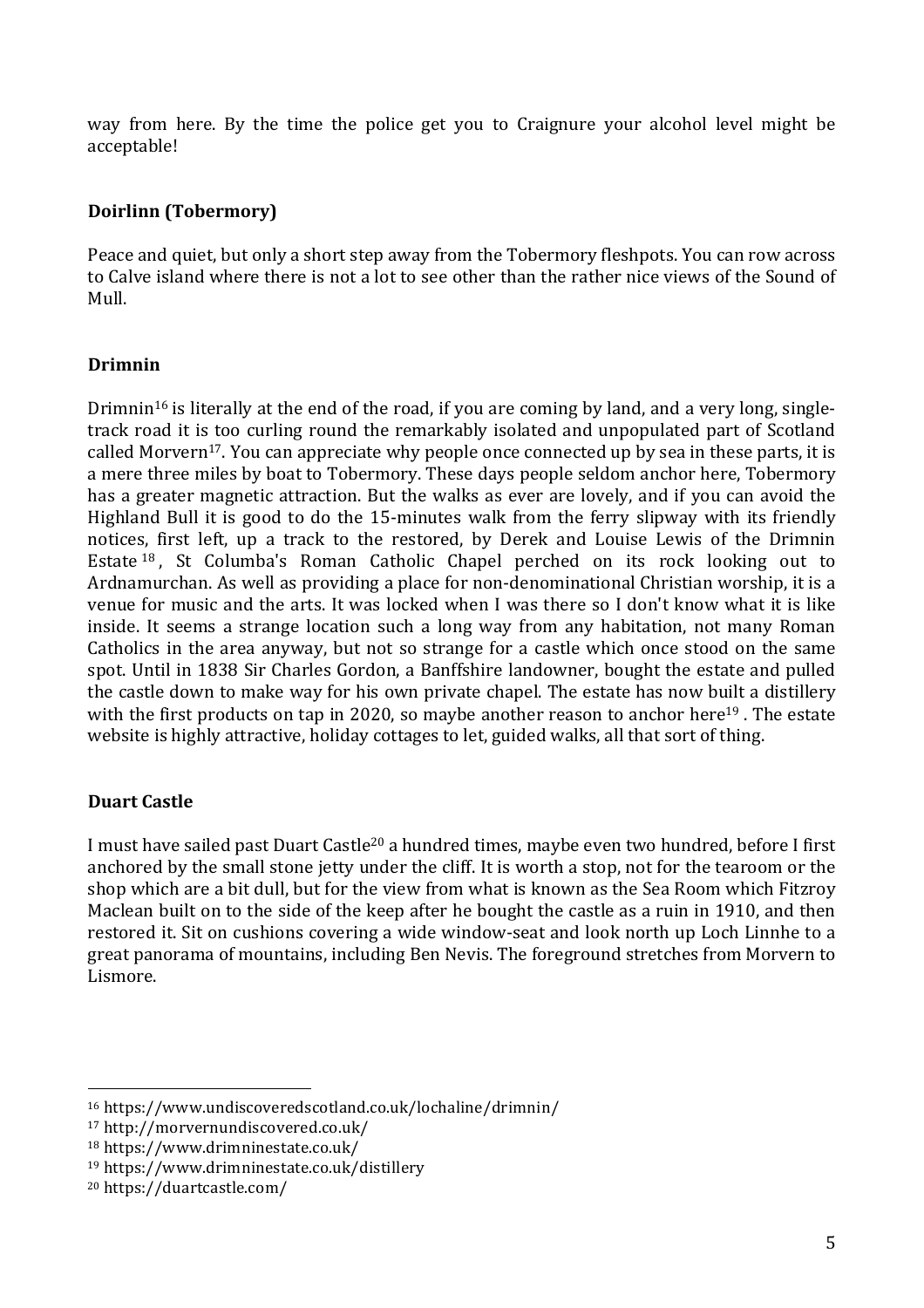way from here. By the time the police get you to Craignure your alcohol level might be acceptable!

## **Doirlinn (Tobermory)**

Peace and quiet, but only a short step away from the Tobermory fleshpots. You can row across to Calve island where there is not a lot to see other than the rather nice views of the Sound of Mull.

#### **Drimnin**

Drimnin<sup>16</sup> is literally at the end of the road, if you are coming by land, and a very long, singletrack road it is too curling round the remarkably isolated and unpopulated part of Scotland called Morvern<sup>17</sup>. You can appreciate why people once connected up by sea in these parts, it is a mere three miles by boat to Tobermory. These days people seldom anchor here, Tobermory has a greater magnetic attraction. But the walks as ever are lovely, and if you can avoid the Highland Bull it is good to do the 15-minutes walk from the ferry slipway with its friendly notices, first left, up a track to the restored, by Derek and Louise Lewis of the Drimnin Estate <sup>18</sup> , St Columba's Roman Catholic Chapel perched on its rock looking out to Ardnamurchan. As well as providing a place for non-denominational Christian worship, it is a venue for music and the arts. It was locked when I was there so I don't know what it is like inside. It seems a strange location such a long way from any habitation, not many Roman Catholics in the area anyway, but not so strange for a castle which once stood on the same spot. Until in 1838 Sir Charles Gordon, a Banffshire landowner, bought the estate and pulled the castle down to make way for his own private chapel. The estate has now built a distillery with the first products on tap in 2020, so maybe another reason to anchor here<sup>19</sup>. The estate website is highly attractive, holiday cottages to let, guided walks, all that sort of thing.

## **Duart Castle**

I must have sailed past Duart Castle20 a hundred times, maybe even two hundred, before I first anchored by the small stone jetty under the cliff. It is worth a stop, not for the tearoom or the shop which are a bit dull, but for the view from what is known as the Sea Room which Fitzroy Maclean built on to the side of the keep after he bought the castle as a ruin in 1910, and then restored it. Sit on cushions covering a wide window-seat and look north up Loch Linnhe to a great panorama of mountains, including Ben Nevis. The foreground stretches from Morvern to Lismore.

<sup>16</sup> https://www.undiscoveredscotland.co.uk/lochaline/drimnin/

<sup>17</sup> http://morvernundiscovered.co.uk/

<sup>18</sup> https://www.drimninestate.co.uk/

<sup>19</sup> https://www.drimninestate.co.uk/distillery

<sup>20</sup> https://duartcastle.com/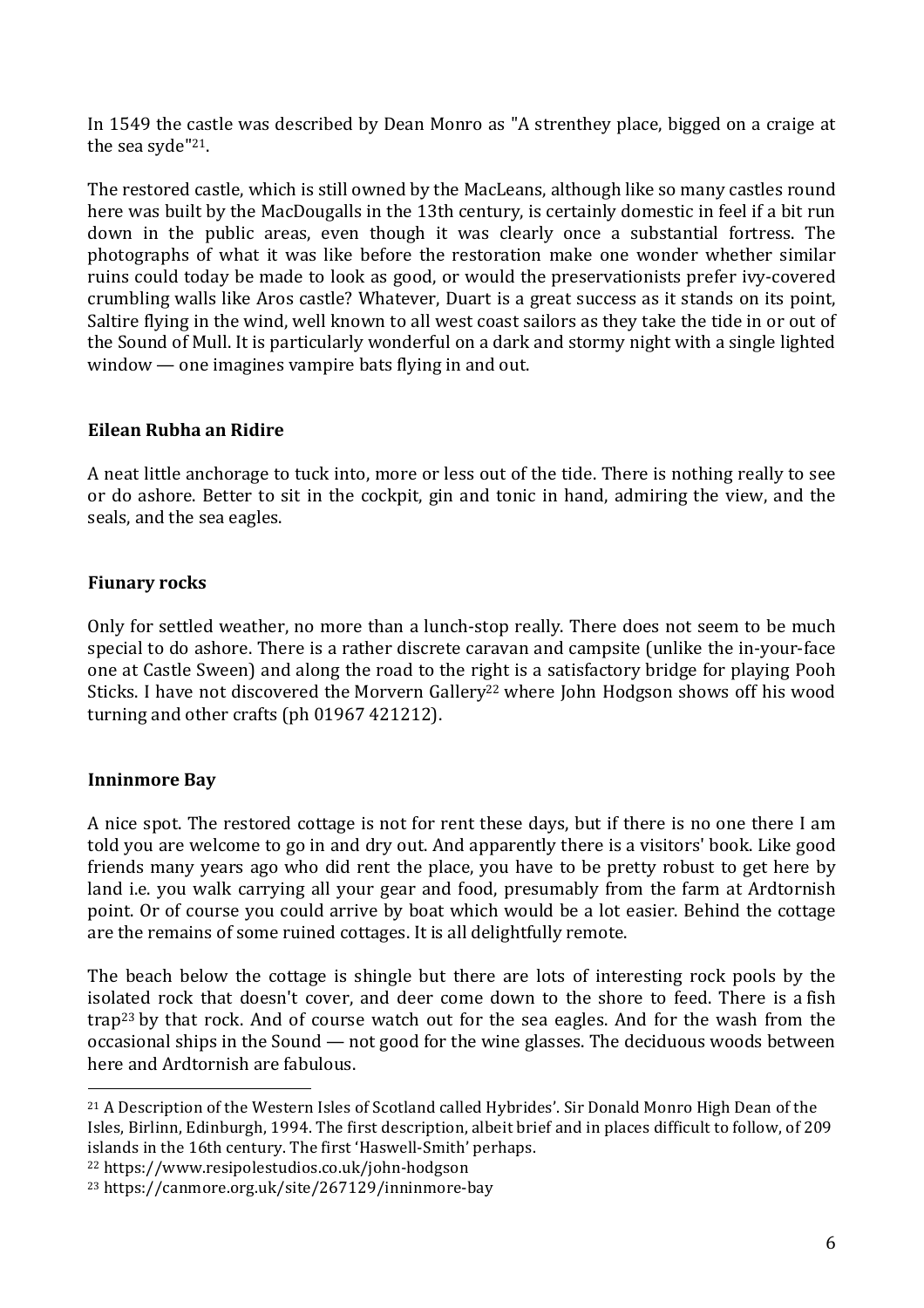In 1549 the castle was described by Dean Monro as "A strenthey place, bigged on a craige at the sea syde"<sup>21</sup>.

The restored castle, which is still owned by the MacLeans, although like so many castles round here was built by the MacDougalls in the 13th century, is certainly domestic in feel if a bit run down in the public areas, even though it was clearly once a substantial fortress. The photographs of what it was like before the restoration make one wonder whether similar ruins could today be made to look as good, or would the preservationists prefer ivy-covered crumbling walls like Aros castle? Whatever, Duart is a great success as it stands on its point, Saltire flying in the wind, well known to all west coast sailors as they take the tide in or out of the Sound of Mull. It is particularly wonderful on a dark and stormy night with a single lighted window — one imagines vampire bats flying in and out.

#### **Eilean Rubha an Ridire**

A neat little anchorage to tuck into, more or less out of the tide. There is nothing really to see or do ashore. Better to sit in the cockpit, gin and tonic in hand, admiring the view, and the seals, and the sea eagles.

#### **Fiunary rocks**

Only for settled weather, no more than a lunch-stop really. There does not seem to be much special to do ashore. There is a rather discrete caravan and campsite (unlike the in-your-face one at Castle Sween) and along the road to the right is a satisfactory bridge for playing Pooh Sticks. I have not discovered the Morvern Gallery<sup>22</sup> where John Hodgson shows off his wood turning and other crafts (ph 01967 421212).

## **Inninmore Bay**

A nice spot. The restored cottage is not for rent these days, but if there is no one there I am told you are welcome to go in and dry out. And apparently there is a visitors' book. Like good friends many years ago who did rent the place, you have to be pretty robust to get here by land i.e. you walk carrying all your gear and food, presumably from the farm at Ardtornish point. Or of course you could arrive by boat which would be a lot easier. Behind the cottage are the remains of some ruined cottages. It is all delightfully remote.

The beach below the cottage is shingle but there are lots of interesting rock pools by the isolated rock that doesn't cover, and deer come down to the shore to feed. There is a fish trap23 by that rock. And of course watch out for the sea eagles. And for the wash from the occasional ships in the Sound — not good for the wine glasses. The deciduous woods between here and Ardtornish are fabulous.

<sup>22</sup> https://www.resipolestudios.co.uk/john-hodgson

<sup>&</sup>lt;sup>21</sup> A Description of the Western Isles of Scotland called Hybrides'. Sir Donald Monro High Dean of the Isles, Birlinn, Edinburgh, 1994. The first description, albeit brief and in places difficult to follow, of 209 islands in the 16th century. The first 'Haswell-Smith' perhaps.

<sup>23</sup> https://canmore.org.uk/site/267129/inninmore-bay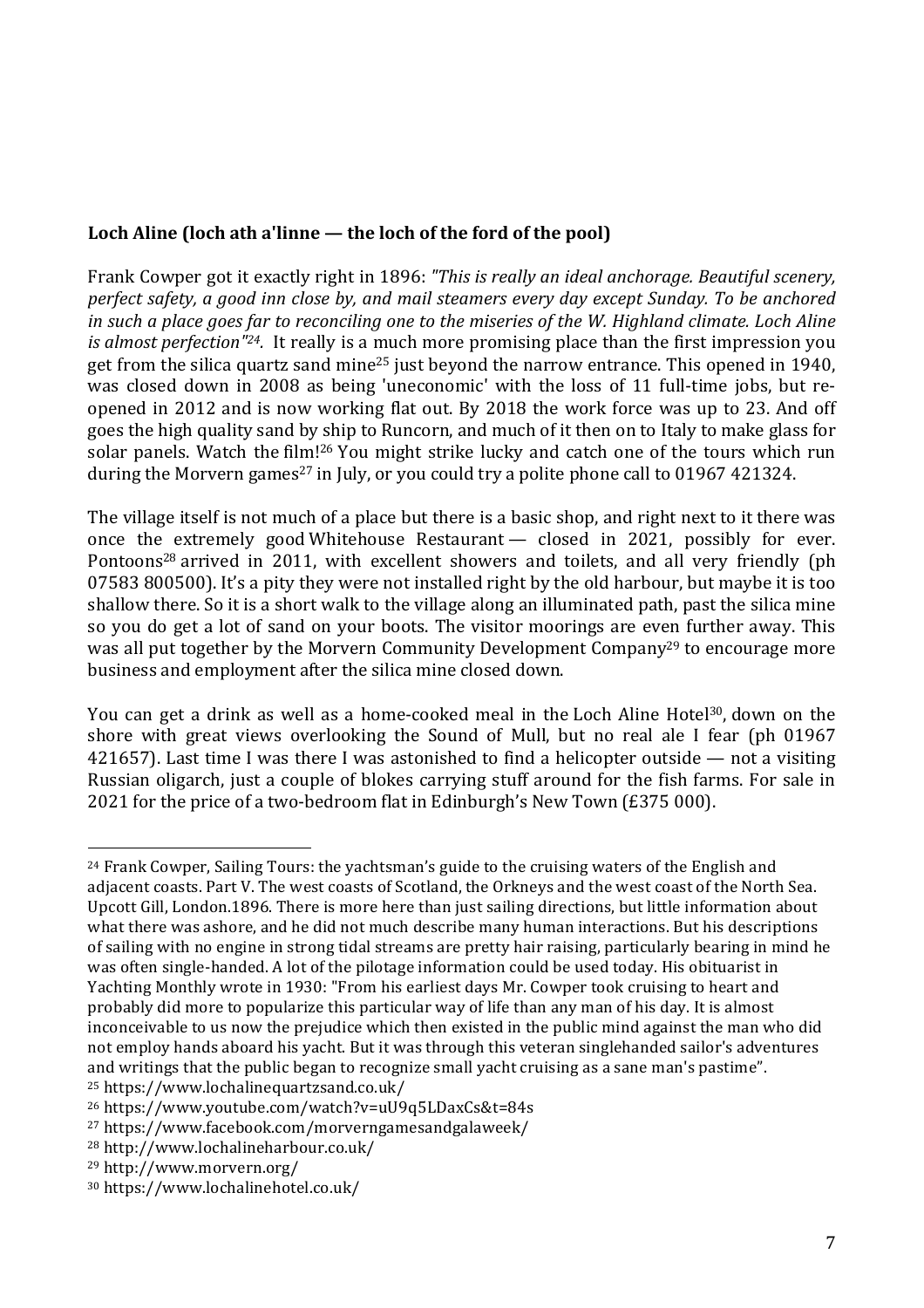# **Loch Aline (loch ath a'linne — the loch of the ford of the pool)**

Frank Cowper got it exactly right in 1896: *"This is really an ideal anchorage. Beautiful scenery, perfect safety, a good inn close by, and mail steamers every day except Sunday. To be anchored* in such a place goes far to reconciling one to the miseries of the W. Highland climate. Loch Aline *is almost perfection"24.* It really is a much more promising place than the first impression you get from the silica quartz sand mine25 just beyond the narrow entrance. This opened in 1940, was closed down in 2008 as being 'uneconomic' with the loss of 11 full-time jobs, but reopened in 2012 and is now working flat out. By 2018 the work force was up to 23. And off goes the high quality sand by ship to Runcorn, and much of it then on to Italy to make glass for solar panels. Watch the film!<sup>26</sup> You might strike lucky and catch one of the tours which run during the Morvern games<sup>27</sup> in July, or you could try a polite phone call to 01967 421324.

The village itself is not much of a place but there is a basic shop, and right next to it there was once the extremely good Whitehouse Restaurant — closed in 2021, possibly for ever. Pontoons<sup>28</sup> arrived in 2011, with excellent showers and toilets, and all very friendly (ph 07583 800500). It's a pity they were not installed right by the old harbour, but maybe it is too shallow there. So it is a short walk to the village along an illuminated path, past the silica mine so you do get a lot of sand on your boots. The visitor moorings are even further away. This was all put together by the Morvern Community Development Company<sup>29</sup> to encourage more business and employment after the silica mine closed down.

You can get a drink as well as a home-cooked meal in the Loch Aline Hotel<sup>30</sup>, down on the shore with great views overlooking the Sound of Mull, but no real ale I fear (ph 01967 421657). Last time I was there I was astonished to find a helicopter outside — not a visiting Russian oligarch, just a couple of blokes carrying stuff around for the fish farms. For sale in 2021 for the price of a two-bedroom flat in Edinburgh's New Town (£375 000).

  $24$  Frank Cowper, Sailing Tours: the yachtsman's guide to the cruising waters of the English and adjacent coasts. Part V. The west coasts of Scotland, the Orkneys and the west coast of the North Sea. Upcott Gill, London.1896. There is more here than just sailing directions, but little information about what there was ashore, and he did not much describe many human interactions. But his descriptions of sailing with no engine in strong tidal streams are pretty hair raising, particularly bearing in mind he was often single-handed. A lot of the pilotage information could be used today. His obituarist in Yachting Monthly wrote in 1930: "From his earliest days Mr. Cowper took cruising to heart and probably did more to popularize this particular way of life than any man of his day. It is almost inconceivable to us now the prejudice which then existed in the public mind against the man who did not employ hands aboard his yacht. But it was through this veteran singlehanded sailor's adventures and writings that the public began to recognize small yacht cruising as a sane man's pastime". <sup>25</sup> https://www.lochalinequartzsand.co.uk/

<sup>26</sup> https://www.youtube.com/watch?v=uU9q5LDaxCs&t=84s

<sup>27</sup> https://www.facebook.com/morverngamesandgalaweek/

<sup>28</sup> http://www.lochalineharbour.co.uk/

<sup>29</sup> http://www.morvern.org/

<sup>30</sup> https://www.lochalinehotel.co.uk/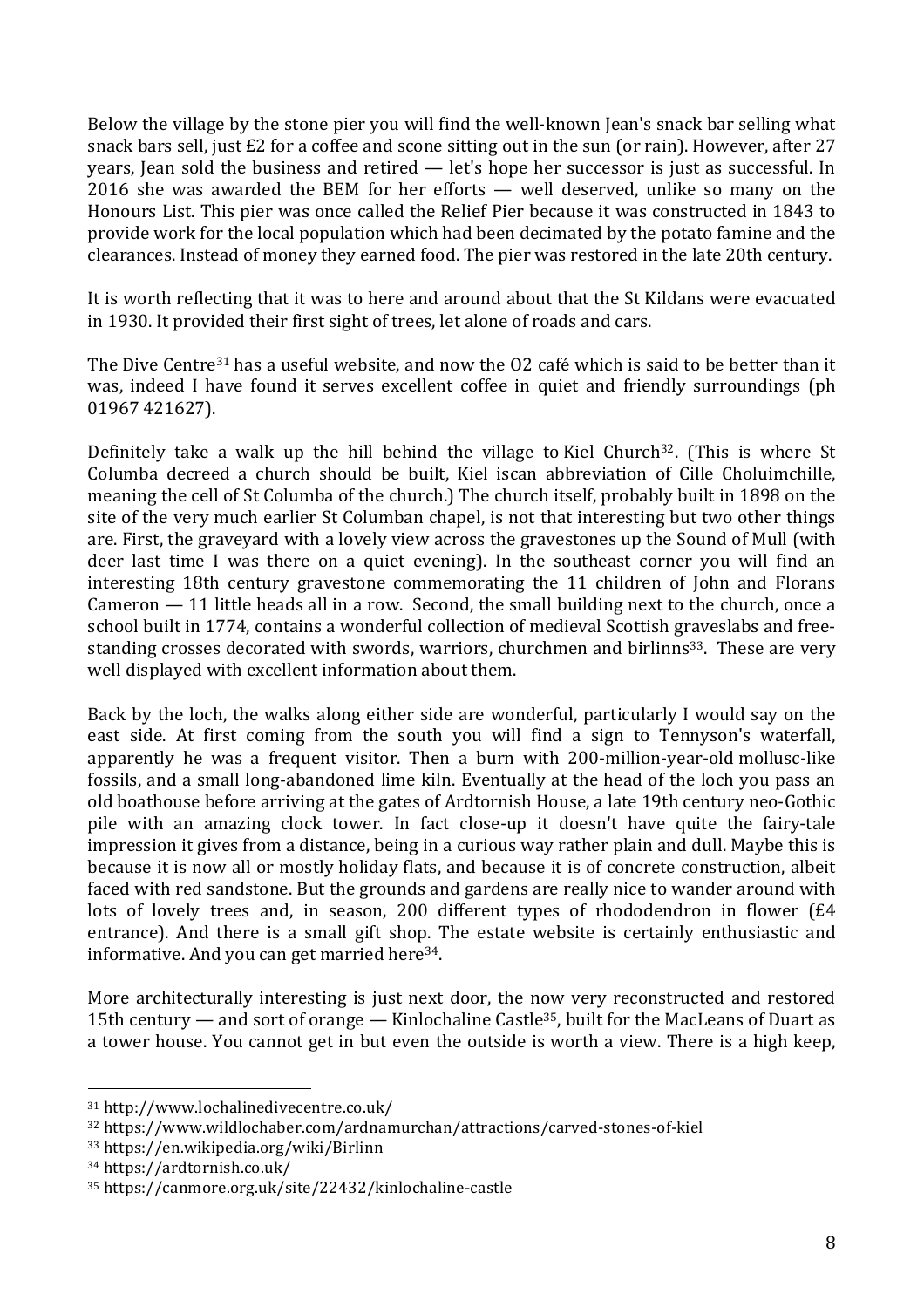Below the village by the stone pier you will find the well-known Jean's snack bar selling what snack bars sell, just £2 for a coffee and scone sitting out in the sun (or rain). However, after 27 years, Jean sold the business and retired — let's hope her successor is just as successful. In 2016 she was awarded the BEM for her efforts — well deserved, unlike so many on the Honours List. This pier was once called the Relief Pier because it was constructed in 1843 to provide work for the local population which had been decimated by the potato famine and the clearances. Instead of money they earned food. The pier was restored in the late 20th century.

It is worth reflecting that it was to here and around about that the St Kildans were evacuated in 1930. It provided their first sight of trees, let alone of roads and cars.

The Dive Centre<sup>31</sup> has a useful website, and now the O2 café which is said to be better than it was, indeed I have found it serves excellent coffee in quiet and friendly surroundings (ph 01967 421627).

Definitely take a walk up the hill behind the village to Kiel Church<sup>32</sup>. (This is where St Columba decreed a church should be built, Kiel iscan abbreviation of Cille Choluimchille, meaning the cell of St Columba of the church.) The church itself, probably built in 1898 on the site of the very much earlier St Columban chapel, is not that interesting but two other things are. First, the graveyard with a lovely view across the gravestones up the Sound of Mull (with deer last time I was there on a quiet evening). In the southeast corner you will find an interesting 18th century gravestone commemorating the 11 children of John and Florans Cameron — 11 little heads all in a row. Second, the small building next to the church, once a school built in 1774, contains a wonderful collection of medieval Scottish graveslabs and freestanding crosses decorated with swords, warriors, churchmen and birlinns<sup>33</sup>. These are very well displayed with excellent information about them.

Back by the loch, the walks along either side are wonderful, particularly I would say on the east side. At first coming from the south you will find a sign to Tennyson's waterfall, apparently he was a frequent visitor. Then a burn with 200-million-year-old mollusc-like fossils, and a small long-abandoned lime kiln. Eventually at the head of the loch you pass an old boathouse before arriving at the gates of Ardtornish House, a late 19th century neo-Gothic pile with an amazing clock tower. In fact close-up it doesn't have quite the fairy-tale impression it gives from a distance, being in a curious way rather plain and dull. Maybe this is because it is now all or mostly holiday flats, and because it is of concrete construction, albeit faced with red sandstone. But the grounds and gardens are really nice to wander around with lots of lovely trees and, in season, 200 different types of rhododendron in flower (£4 entrance). And there is a small gift shop. The estate website is certainly enthusiastic and informative. And you can get married here34.

More architecturally interesting is just next door, the now very reconstructed and restored 15th century — and sort of orange — Kinlochaline Castle<sup>35</sup>, built for the MacLeans of Duart as a tower house. You cannot get in but even the outside is worth a view. There is a high keep,

<sup>31</sup> http://www.lochalinedivecentre.co.uk/

<sup>32</sup> https://www.wildlochaber.com/ardnamurchan/attractions/carved-stones-of-kiel

<sup>33</sup> https://en.wikipedia.org/wiki/Birlinn

<sup>34</sup> https://ardtornish.co.uk/

<sup>35</sup> https://canmore.org.uk/site/22432/kinlochaline-castle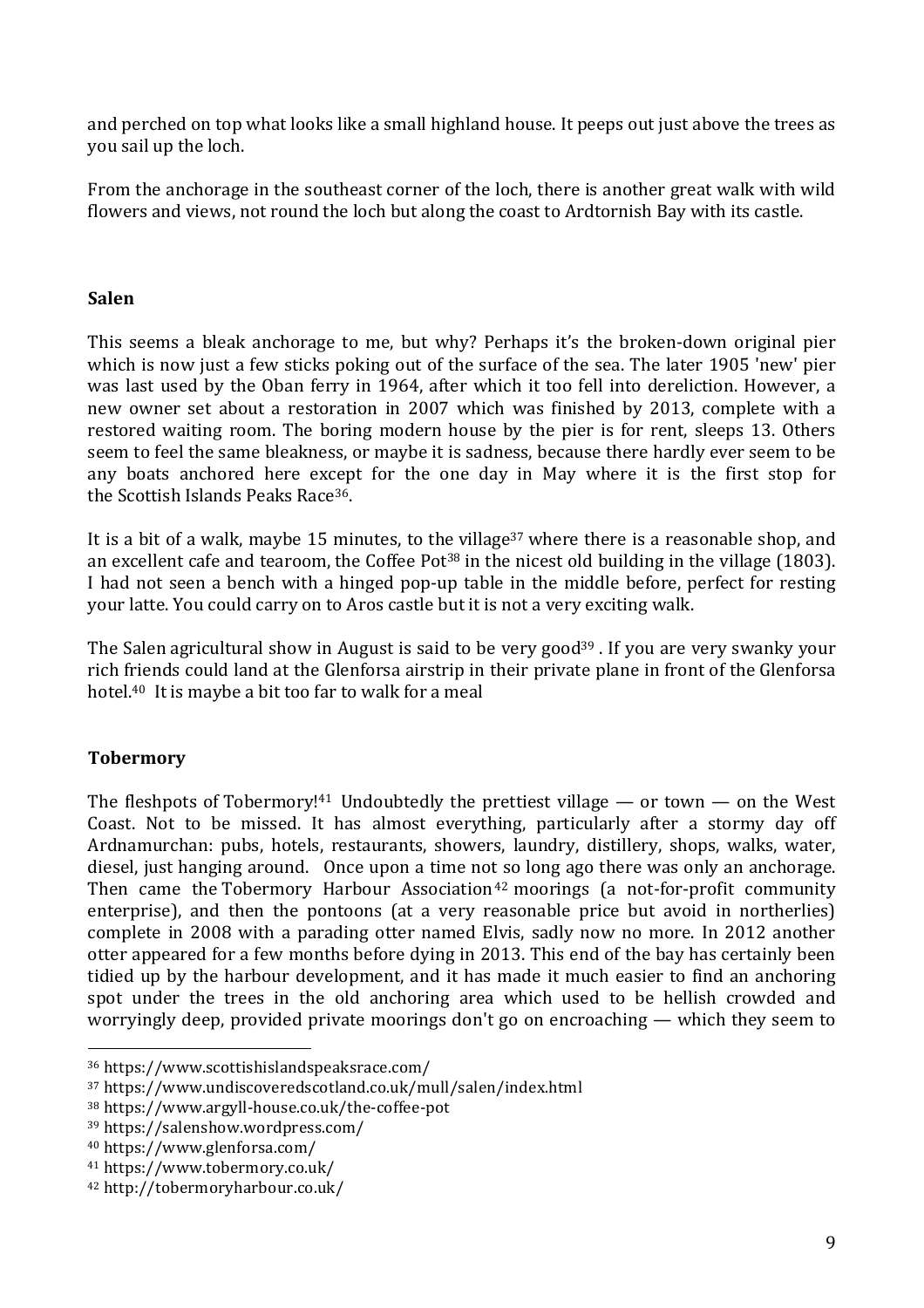and perched on top what looks like a small highland house. It peeps out just above the trees as you sail up the loch.

From the anchorage in the southeast corner of the loch, there is another great walk with wild flowers and views, not round the loch but along the coast to Ardtornish Bay with its castle.

#### **Salen**

This seems a bleak anchorage to me, but why? Perhaps it's the broken-down original pier which is now just a few sticks poking out of the surface of the sea. The later 1905 'new' pier was last used by the Oban ferry in 1964, after which it too fell into dereliction. However, a new owner set about a restoration in 2007 which was finished by 2013, complete with a restored waiting room. The boring modern house by the pier is for rent, sleeps 13. Others seem to feel the same bleakness, or maybe it is sadness, because there hardly ever seem to be any boats anchored here except for the one day in May where it is the first stop for the Scottish Islands Peaks Race36.

It is a bit of a walk, maybe 15 minutes, to the village<sup>37</sup> where there is a reasonable shop, and an excellent cafe and tearoom, the Coffee Pot<sup>38</sup> in the nicest old building in the village (1803). I had not seen a bench with a hinged pop-up table in the middle before, perfect for resting your latte. You could carry on to Aros castle but it is not a very exciting walk.

The Salen agricultural show in August is said to be very good<sup>39</sup>. If you are very swanky your rich friends could land at the Glenforsa airstrip in their private plane in front of the Glenforsa hotel. <sup>40</sup> It is maybe a bit too far to walk for a meal

## **Tobermory**

The fleshpots of Tobermory!<sup>41</sup> Undoubtedly the prettiest village — or town — on the West Coast. Not to be missed. It has almost everything, particularly after a stormy day off Ardnamurchan: pubs, hotels, restaurants, showers, laundry, distillery, shops, walks, water, diesel, just hanging around. Once upon a time not so long ago there was only an anchorage. Then came the Tobermory Harbour Association<sup>42</sup> moorings (a not-for-profit community enterprise), and then the pontoons (at a very reasonable price but avoid in northerlies) complete in 2008 with a parading otter named Elvis, sadly now no more. In 2012 another otter appeared for a few months before dying in 2013. This end of the bay has certainly been tidied up by the harbour development, and it has made it much easier to find an anchoring spot under the trees in the old anchoring area which used to be hellish crowded and worryingly deep, provided private moorings don't go on encroaching — which they seem to

<sup>36</sup> https://www.scottishislandspeaksrace.com/

<sup>37</sup> https://www.undiscoveredscotland.co.uk/mull/salen/index.html

<sup>38</sup> https://www.argyll-house.co.uk/the-coffee-pot

<sup>39</sup> https://salenshow.wordpress.com/

<sup>40</sup> https://www.glenforsa.com/

<sup>41</sup> https://www.tobermory.co.uk/

<sup>42</sup> http://tobermoryharbour.co.uk/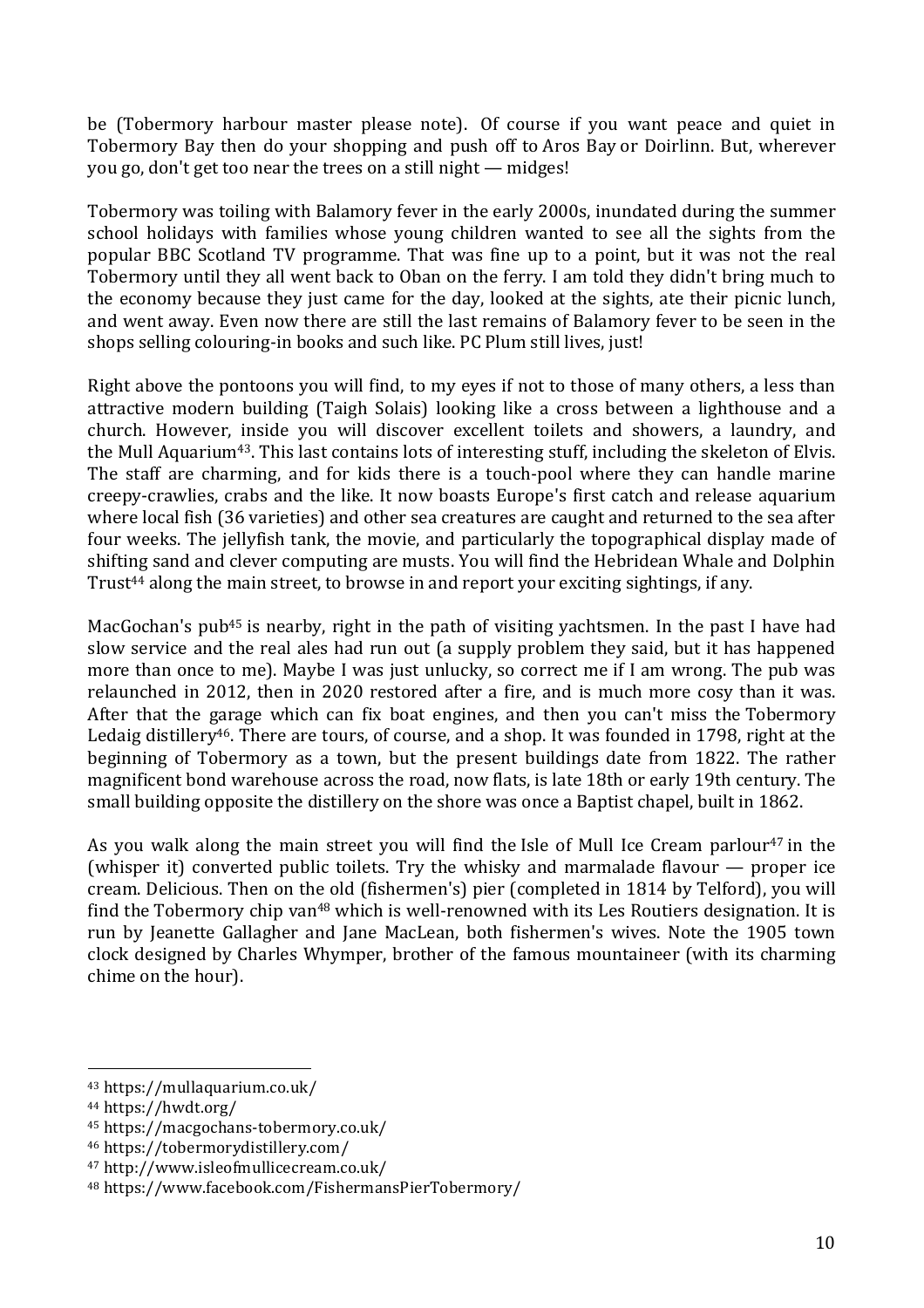be (Tobermory harbour master please note). Of course if you want peace and quiet in Tobermory Bay then do your shopping and push off to Aros Bay or Doirlinn. But, wherever you go, don't get too near the trees on a still night — midges!

Tobermory was toiling with Balamory fever in the early 2000s, inundated during the summer school holidays with families whose young children wanted to see all the sights from the popular BBC Scotland TV programme. That was fine up to a point, but it was not the real Tobermory until they all went back to Oban on the ferry. I am told they didn't bring much to the economy because they just came for the day, looked at the sights, ate their picnic lunch, and went away. Even now there are still the last remains of Balamory fever to be seen in the shops selling colouring-in books and such like. PC Plum still lives, just!

Right above the pontoons you will find, to my eyes if not to those of many others, a less than attractive modern building (Taigh Solais) looking like a cross between a lighthouse and a church. However, inside you will discover excellent toilets and showers, a laundry, and the Mull Aquarium43. This last contains lots of interesting stuff, including the skeleton of Elvis. The staff are charming, and for kids there is a touch-pool where they can handle marine creepy-crawlies, crabs and the like. It now boasts Europe's first catch and release aquarium where local fish (36 varieties) and other sea creatures are caught and returned to the sea after four weeks. The jellyfish tank, the movie, and particularly the topographical display made of shifting sand and clever computing are musts. You will find the Hebridean Whale and Dolphin Trust<sup>44</sup> along the main street, to browse in and report your exciting sightings, if any.

MacGochan's pub<sup>45</sup> is nearby, right in the path of visiting vachtsmen. In the past I have had slow service and the real ales had run out (a supply problem they said, but it has happened more than once to me). Maybe I was just unlucky, so correct me if I am wrong. The pub was relaunched in 2012, then in 2020 restored after a fire, and is much more cosy than it was. After that the garage which can fix boat engines, and then you can't miss the Tobermory Ledaig distillery<sup>46</sup>. There are tours, of course, and a shop. It was founded in 1798, right at the beginning of Tobermory as a town, but the present buildings date from 1822. The rather magnificent bond warehouse across the road, now flats, is late 18th or early 19th century. The small building opposite the distillery on the shore was once a Baptist chapel, built in 1862.

As you walk along the main street you will find the Isle of Mull Ice Cream parlour<sup>47</sup> in the (whisper it) converted public toilets. Try the whisky and marmalade flavour — proper ice cream. Delicious. Then on the old (fishermen's) pier (completed in 1814 by Telford), you will find the Tobermory chip van<sup>48</sup> which is well-renowned with its Les Routiers designation. It is run by Jeanette Gallagher and Jane MacLean, both fishermen's wives. Note the 1905 town clock designed by Charles Whymper, brother of the famous mountaineer (with its charming chime on the hour).

 <sup>43</sup> https://mullaquarium.co.uk/

<sup>44</sup> https://hwdt.org/

<sup>45</sup> https://macgochans-tobermory.co.uk/

<sup>46</sup> https://tobermorydistillery.com/

<sup>47</sup> http://www.isleofmullicecream.co.uk/

<sup>48</sup> https://www.facebook.com/FishermansPierTobermory/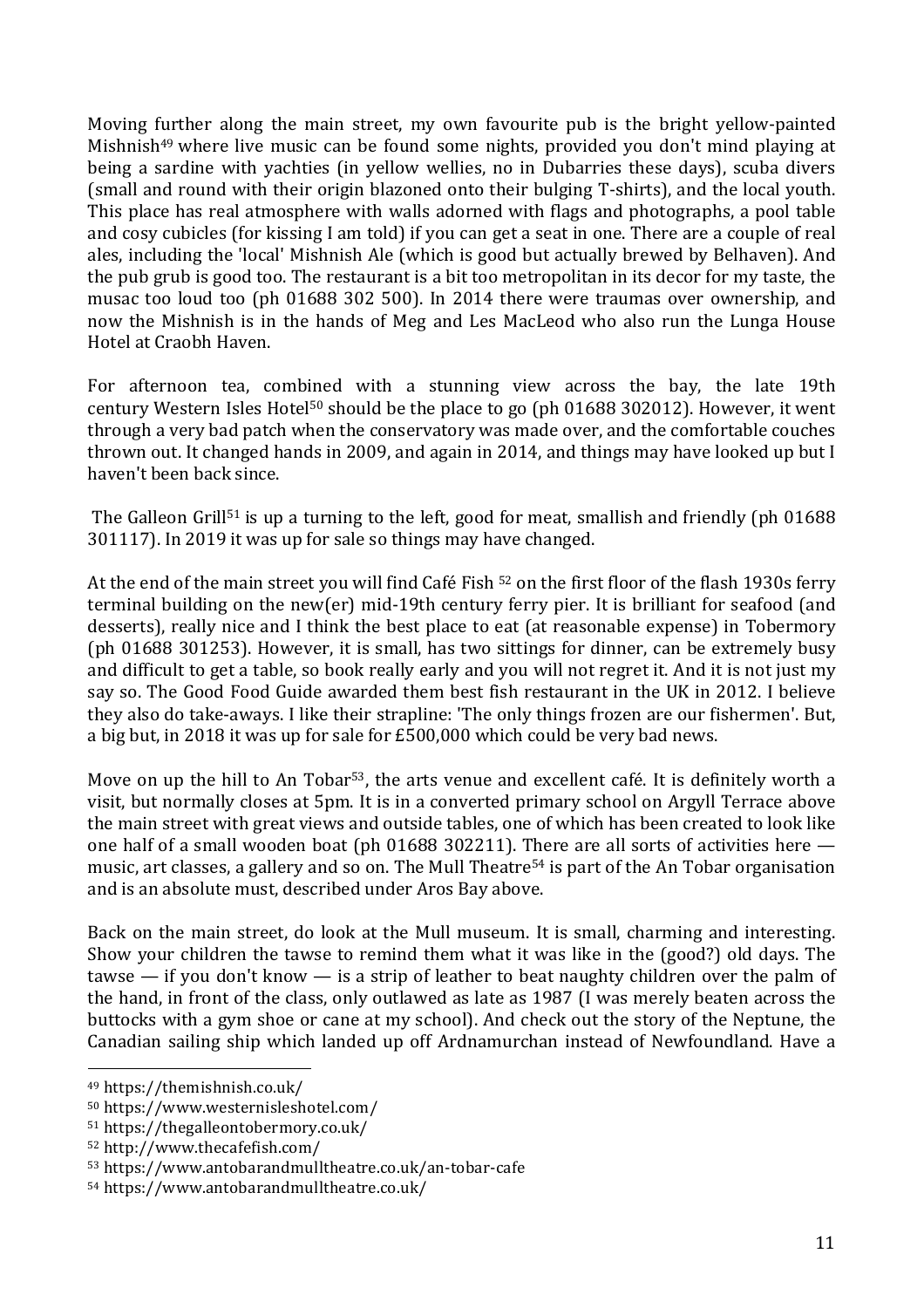Moving further along the main street, my own favourite pub is the bright yellow-painted Mishnish49 where live music can be found some nights, provided you don't mind playing at being a sardine with yachties (in yellow wellies, no in Dubarries these days), scuba divers (small and round with their origin blazoned onto their bulging T-shirts), and the local youth. This place has real atmosphere with walls adorned with flags and photographs, a pool table and cosy cubicles (for kissing I am told) if you can get a seat in one. There are a couple of real ales, including the 'local' Mishnish Ale (which is good but actually brewed by Belhaven). And the pub grub is good too. The restaurant is a bit too metropolitan in its decor for my taste, the musac too loud too (ph 01688 302 500). In 2014 there were traumas over ownership, and now the Mishnish is in the hands of Meg and Les MacLeod who also run the Lunga House Hotel at Craobh Haven.

For afternoon tea, combined with a stunning view across the bay, the late 19th century Western Isles Hotel50 should be the place to go (ph 01688 302012). However, it went through a very bad patch when the conservatory was made over, and the comfortable couches thrown out. It changed hands in 2009, and again in 2014, and things may have looked up but I haven't been back since.

The Galleon Grill<sup>51</sup> is up a turning to the left, good for meat, smallish and friendly (ph 01688) 301117). In 2019 it was up for sale so things may have changed.

At the end of the main street you will find Café Fish  $52$  on the first floor of the flash 1930s ferry terminal building on the new(er) mid-19th century ferry pier. It is brilliant for seafood (and desserts), really nice and I think the best place to eat (at reasonable expense) in Tobermory (ph 01688 301253). However, it is small, has two sittings for dinner, can be extremely busy and difficult to get a table, so book really early and you will not regret it. And it is not just my say so. The Good Food Guide awarded them best fish restaurant in the UK in 2012. I believe they also do take-aways. I like their strapline: 'The only things frozen are our fishermen'. But, a big but, in 2018 it was up for sale for £500,000 which could be very bad news.

Move on up the hill to An Tobar<sup>53</sup>, the arts venue and excellent café. It is definitely worth a visit, but normally closes at 5pm. It is in a converted primary school on Argyll Terrace above the main street with great views and outside tables, one of which has been created to look like one half of a small wooden boat (ph 01688 302211). There are all sorts of activities here music, art classes, a gallery and so on. The Mull Theatre<sup>54</sup> is part of the An Tobar organisation and is an absolute must, described under Aros Bay above.

Back on the main street, do look at the Mull museum. It is small, charming and interesting. Show your children the tawse to remind them what it was like in the (good?) old days. The tawse — if you don't know — is a strip of leather to beat naughty children over the palm of the hand, in front of the class, only outlawed as late as 1987 (I was merely beaten across the buttocks with a gym shoe or cane at my school). And check out the story of the Neptune, the Canadian sailing ship which landed up off Ardnamurchan instead of Newfoundland. Have a

 <sup>49</sup> https://themishnish.co.uk/

<sup>50</sup> https://www.westernisleshotel.com/

<sup>51</sup> https://thegalleontobermory.co.uk/

<sup>52</sup> http://www.thecafefish.com/

<sup>53</sup> https://www.antobarandmulltheatre.co.uk/an-tobar-cafe

<sup>54</sup> https://www.antobarandmulltheatre.co.uk/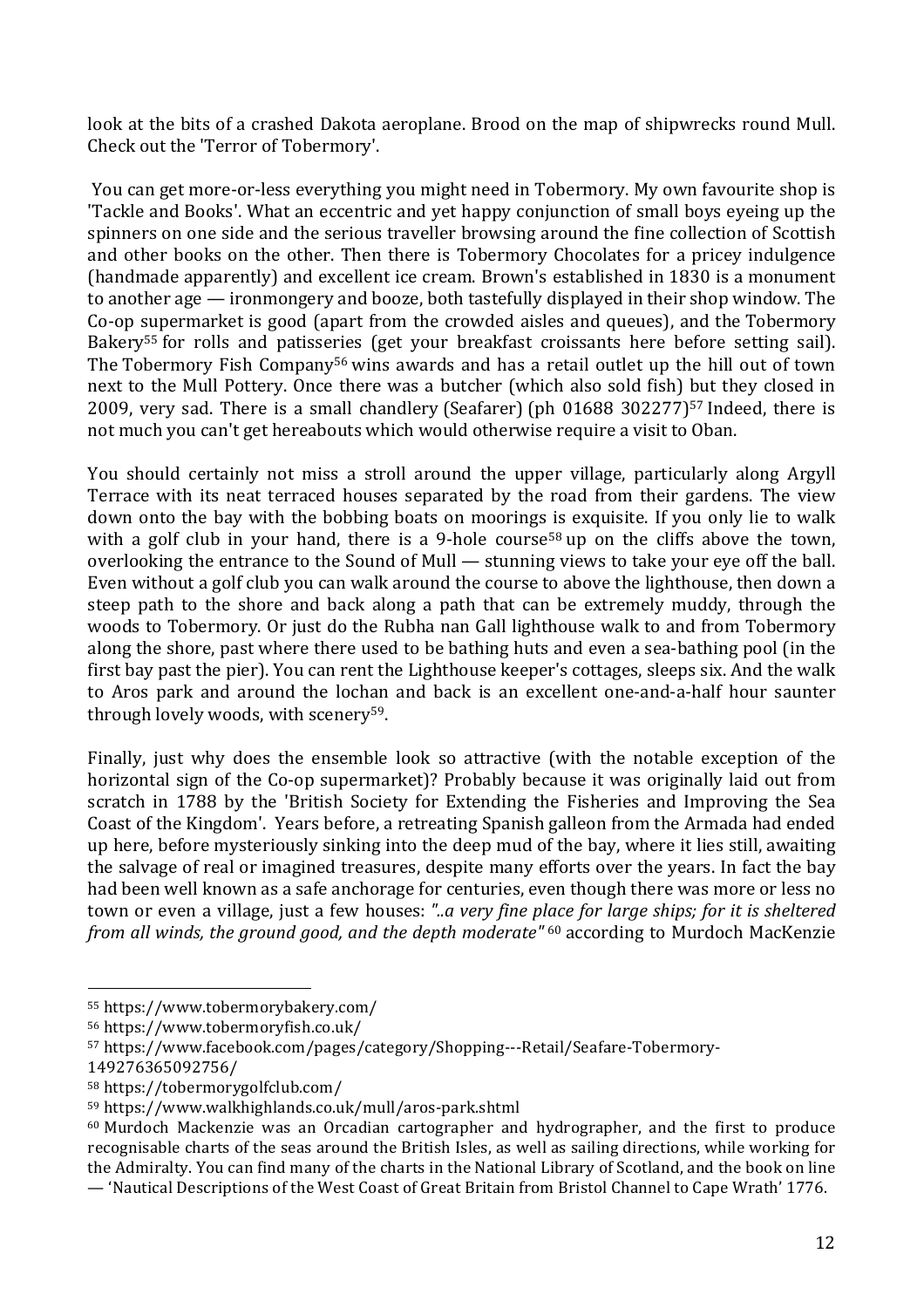look at the bits of a crashed Dakota aeroplane. Brood on the map of shipwrecks round Mull. Check out the 'Terror of Tobermory'.

You can get more-or-less everything you might need in Tobermory. My own favourite shop is 'Tackle and Books'. What an eccentric and yet happy conjunction of small boys eyeing up the spinners on one side and the serious traveller browsing around the fine collection of Scottish and other books on the other. Then there is Tobermory Chocolates for a pricey indulgence (handmade apparently) and excellent ice cream. Brown's established in 1830 is a monument to another age — ironmongery and booze, both tastefully displayed in their shop window. The Co-op supermarket is good (apart from the crowded aisles and queues), and the Tobermory Bakery<sup>55</sup> for rolls and patisseries (get your breakfast croissants here before setting sail). The Tobermory Fish Company<sup>56</sup> wins awards and has a retail outlet up the hill out of town next to the Mull Pottery. Once there was a butcher (which also sold fish) but they closed in 2009, very sad. There is a small chandlery (Seafarer) (ph 01688 302277)57 Indeed, there is not much you can't get hereabouts which would otherwise require a visit to Oban.

You should certainly not miss a stroll around the upper village, particularly along Argyll Terrace with its neat terraced houses separated by the road from their gardens. The view down onto the bay with the bobbing boats on moorings is exquisite. If you only lie to walk with a golf club in your hand, there is a 9-hole course<sup>58</sup> up on the cliffs above the town, overlooking the entrance to the Sound of Mull — stunning views to take your eye off the ball. Even without a golf club you can walk around the course to above the lighthouse, then down a steep path to the shore and back along a path that can be extremely muddy, through the woods to Tobermory. Or just do the Rubha nan Gall lighthouse walk to and from Tobermory along the shore, past where there used to be bathing huts and even a sea-bathing pool (in the first bay past the pier). You can rent the Lighthouse keeper's cottages, sleeps six. And the walk to Aros park and around the lochan and back is an excellent one-and-a-half hour saunter through lovely woods, with scenery<sup>59</sup>.

Finally, just why does the ensemble look so attractive (with the notable exception of the horizontal sign of the Co-op supermarket)? Probably because it was originally laid out from scratch in 1788 by the 'British Society for Extending the Fisheries and Improving the Sea Coast of the Kingdom'. Years before, a retreating Spanish galleon from the Armada had ended up here, before mysteriously sinking into the deep mud of the bay, where it lies still, awaiting the salvage of real or imagined treasures, despite many efforts over the years. In fact the bay had been well known as a safe anchorage for centuries, even though there was more or less no town or even a village, just a few houses: *"..a very fine place for large ships; for it is sheltered from all winds, the ground good, and the depth moderate"* <sup>60</sup> according to Murdoch MacKenzie

<sup>55</sup> https://www.tobermorybakery.com/

<sup>56</sup> https://www.tobermoryfish.co.uk/

<sup>57</sup> https://www.facebook.com/pages/category/Shopping---Retail/Seafare-Tobermory-

<sup>149276365092756/</sup>

<sup>58</sup> https://tobermorygolfclub.com/

<sup>59</sup> https://www.walkhighlands.co.uk/mull/aros-park.shtml

<sup>60</sup> Murdoch Mackenzie was an Orcadian cartographer and hydrographer, and the first to produce recognisable charts of the seas around the British Isles, as well as sailing directions, while working for the Admiralty. You can find many of the charts in the National Library of Scotland, and the book on line

<sup>—</sup> 'Nautical Descriptions of the West Coast of Great Britain from Bristol Channel to Cape Wrath' 1776.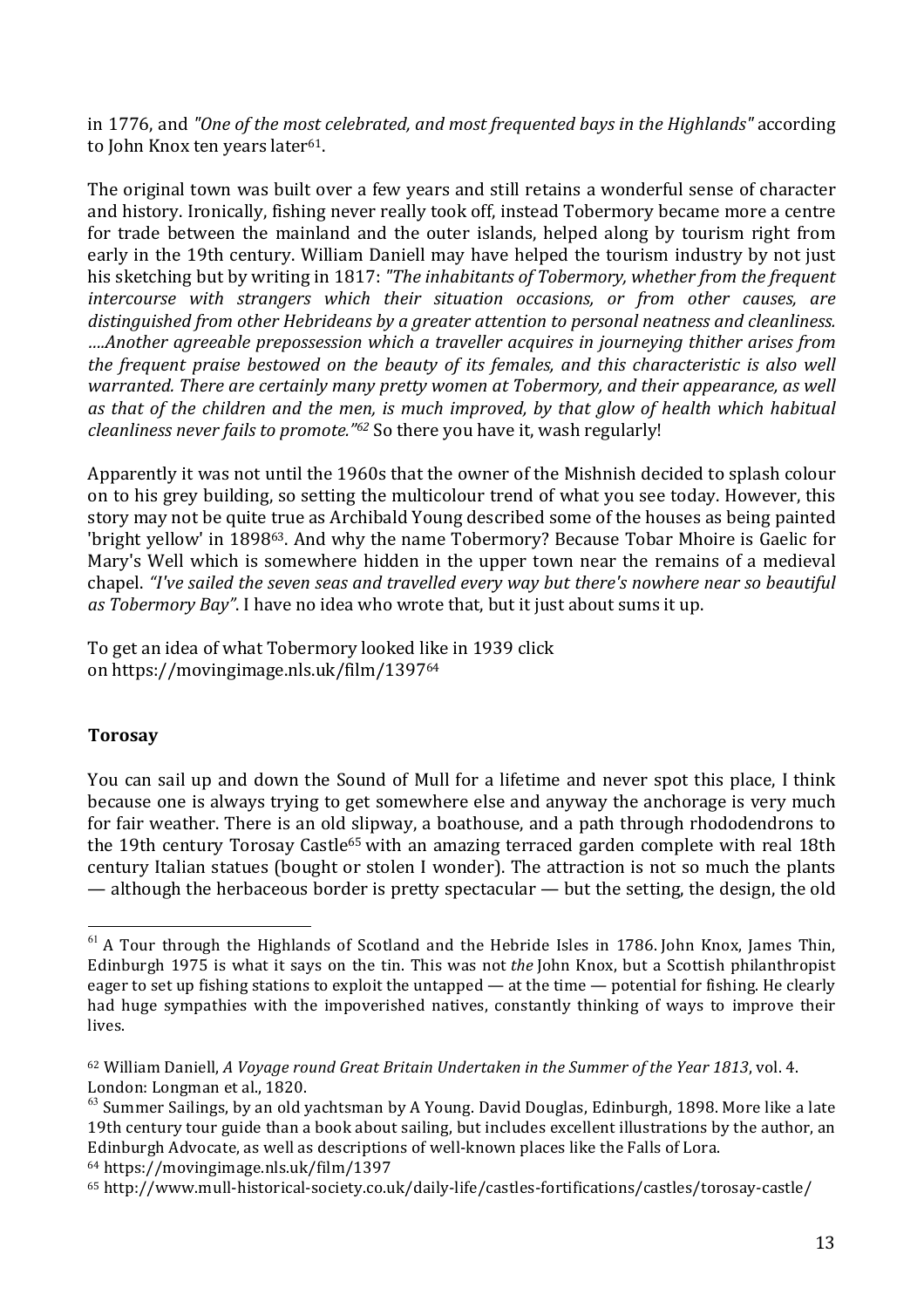in 1776, and *"One of the most celebrated, and most frequented bays in the Highlands"* according to John Knox ten years later<sup>61</sup>.

The original town was built over a few years and still retains a wonderful sense of character and history. Ironically, fishing never really took off, instead Tobermory became more a centre for trade between the mainland and the outer islands, helped along by tourism right from early in the 19th century. William Daniell may have helped the tourism industry by not just his sketching but by writing in 1817: *"The inhabitants of Tobermory, whether from the frequent intercourse with strangers which their situation occasions, or from other causes, are distinguished from other Hebrideans by a greater attention to personal neatness and cleanliness. ….Another agreeable prepossession which a traveller acquires in journeying thither arises from the frequent praise bestowed on the beauty of its females, and this characteristic is also well warranted. There are certainly many pretty women at Tobermory, and their appearance, as well as that of the children and the men, is much improved, by that glow of health which habitual cleanliness never fails to promote."62* So there you have it, wash regularly!

Apparently it was not until the 1960s that the owner of the Mishnish decided to splash colour on to his grey building, so setting the multicolour trend of what you see today. However, this story may not be quite true as Archibald Young described some of the houses as being painted 'bright yellow' in 189863. And why the name Tobermory? Because Tobar Mhoire is Gaelic for Mary's Well which is somewhere hidden in the upper town near the remains of a medieval chapel. *"I've sailed the seven seas and travelled every way but there's nowhere near so beautiful as Tobermory Bay"*. I have no idea who wrote that, but it just about sums it up.

To get an idea of what Tobermory looked like in 1939 click on https://movingimage.nls.uk/film/139764

## **Torosay**

You can sail up and down the Sound of Mull for a lifetime and never spot this place, I think because one is always trying to get somewhere else and anyway the anchorage is very much for fair weather. There is an old slipway, a boathouse, and a path through rhododendrons to the 19th century Torosay Castle<sup>65</sup> with an amazing terraced garden complete with real 18th century Italian statues (bought or stolen I wonder). The attraction is not so much the plants — although the herbaceous border is pretty spectacular — but the setting, the design, the old

  $61$  A Tour through the Highlands of Scotland and the Hebride Isles in 1786. John Knox, James Thin, Edinburgh 1975 is what it says on the tin. This was not *the* John Knox, but a Scottish philanthropist eager to set up fishing stations to exploit the untapped — at the time — potential for fishing. He clearly had huge sympathies with the impoverished natives, constantly thinking of ways to improve their lives.

<sup>62</sup> William Daniell, *A Voyage round Great Britain Undertaken in the Summer of the Year 1813*, vol. 4. London: Longman et al., 1820.

 $63$  Summer Sailings, by an old yachtsman by A Young. David Douglas, Edinburgh, 1898. More like a late 19th century tour guide than a book about sailing, but includes excellent illustrations by the author, an Edinburgh Advocate, as well as descriptions of well-known places like the Falls of Lora. <sup>64</sup> https://movingimage.nls.uk/film/1397

<sup>65</sup> http://www.mull-historical-society.co.uk/daily-life/castles-fortifications/castles/torosay-castle/